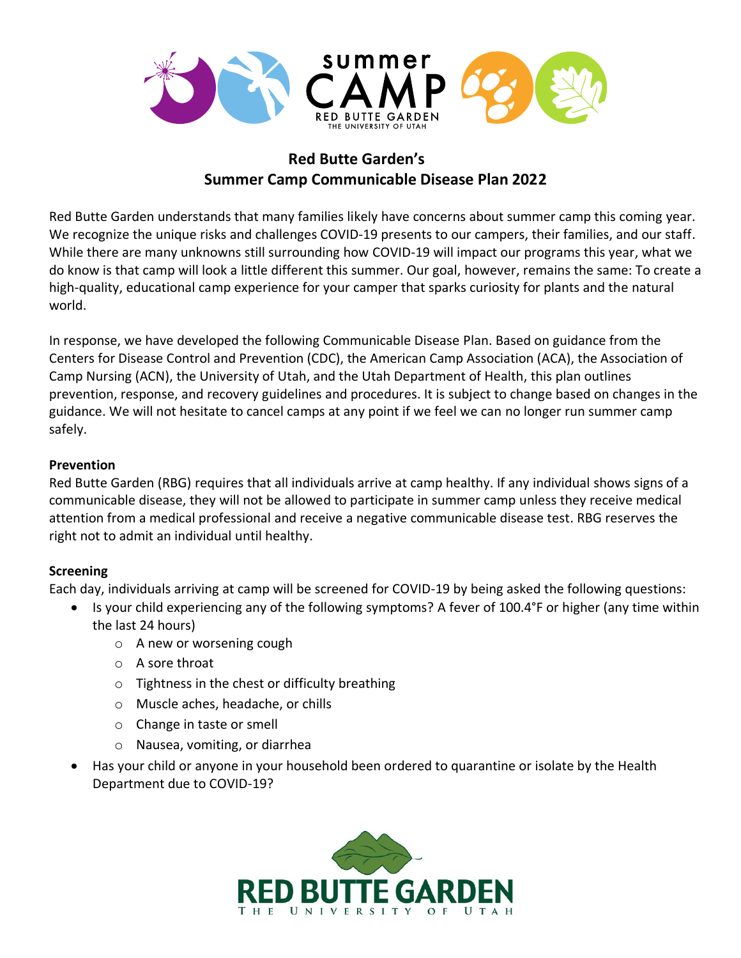

# **Red Butte Garden's Summer Camp Communicable Disease Plan 2022**

Red Butte Garden understands that many families likely have concerns about summer camp this coming year. We recognize the unique risks and challenges COVID-19 presents to our campers, their families, and our staff. While there are many unknowns still surrounding how COVID-19 will impact our programs this year, what we do know is that camp will look a little different this summer. Our goal, however, remains the same: To create a high-quality, educational camp experience for your camper that sparks curiosity for plants and the natural world.

In response, we have developed the following Communicable Disease Plan. Based on guidance from the Centers for Disease Control and Prevention (CDC), the American Camp Association (ACA), the Association of Camp Nursing (ACN), the University of Utah, and the Utah Department of Health, this plan outlines prevention, response, and recovery guidelines and procedures. It is subject to change based on changes in the guidance. We will not hesitate to cancel camps at any point if we feel we can no longer run summer camp safely.

## **Prevention**

Red Butte Garden (RBG) requires that all individuals arrive at camp healthy. If any individual shows signs of a communicable disease, they will not be allowed to participate in summer camp unless they receive medical attention from a medical professional and receive a negative communicable disease test. RBG reserves the right not to admit an individual until healthy.

# **Screening**

Each day, individuals arriving at camp will be screened for COVID-19 by being asked the following questions:

- Is your child experiencing any of the following symptoms? A fever of 100.4°F or higher (any time within the last 24 hours)
	- o A new or worsening cough
	- o A sore throat
	- o Tightness in the chest or difficulty breathing
	- o Muscle aches, headache, or chills
	- o Change in taste or smell
	- o Nausea, vomiting, or diarrhea
- Has your child or anyone in your household been ordered to quarantine or isolate by the Health Department due to COVID-19?

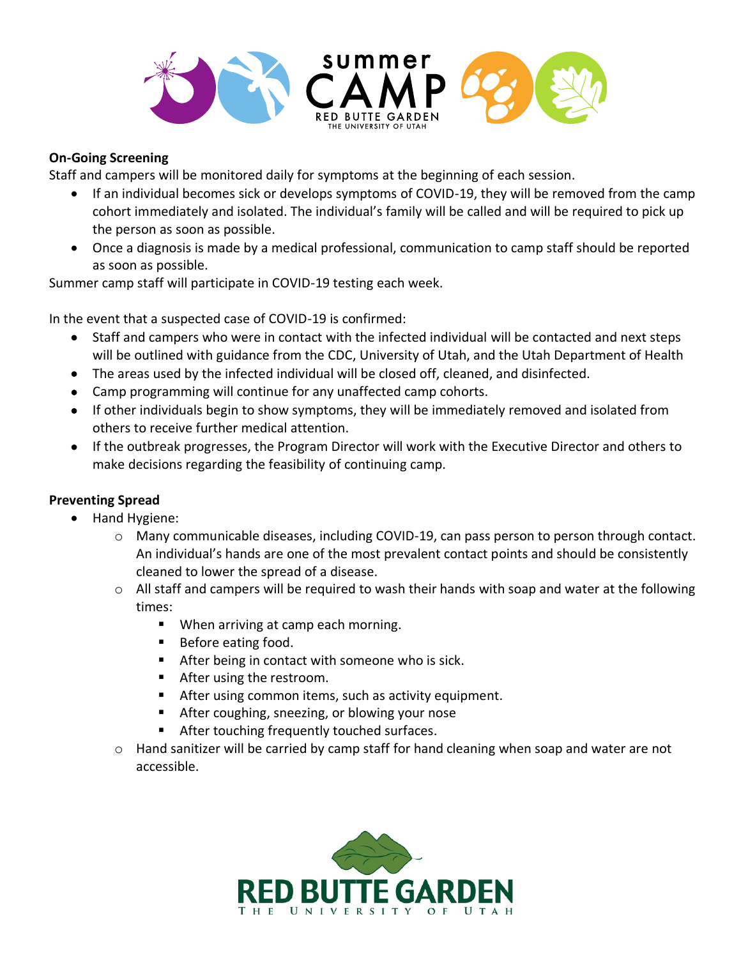

## **On-Going Screening**

Staff and campers will be monitored daily for symptoms at the beginning of each session.

- If an individual becomes sick or develops symptoms of COVID-19, they will be removed from the camp cohort immediately and isolated. The individual's family will be called and will be required to pick up the person as soon as possible.
- Once a diagnosis is made by a medical professional, communication to camp staff should be reported as soon as possible.

Summer camp staff will participate in COVID-19 testing each week.

In the event that a suspected case of COVID-19 is confirmed:

- Staff and campers who were in contact with the infected individual will be contacted and next steps will be outlined with guidance from the CDC, University of Utah, and the Utah Department of Health
- The areas used by the infected individual will be closed off, cleaned, and disinfected.
- Camp programming will continue for any unaffected camp cohorts.
- If other individuals begin to show symptoms, they will be immediately removed and isolated from others to receive further medical attention.
- If the outbreak progresses, the Program Director will work with the Executive Director and others to make decisions regarding the feasibility of continuing camp.

# **Preventing Spread**

- Hand Hygiene:
	- o Many communicable diseases, including COVID-19, can pass person to person through contact. An individual's hands are one of the most prevalent contact points and should be consistently cleaned to lower the spread of a disease.
	- $\circ$  All staff and campers will be required to wash their hands with soap and water at the following times:
		- When arriving at camp each morning.
		- Before eating food.
		- After being in contact with someone who is sick.
		- After using the restroom.
		- After using common items, such as activity equipment.
		- After coughing, sneezing, or blowing your nose
		- After touching frequently touched surfaces.
	- o Hand sanitizer will be carried by camp staff for hand cleaning when soap and water are not accessible.

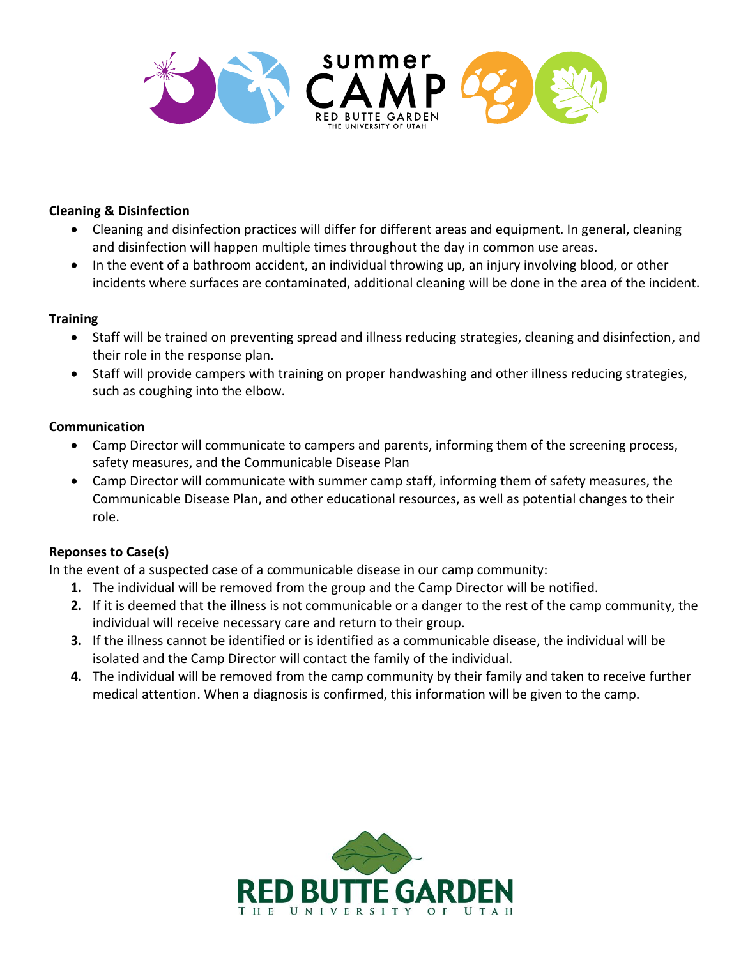

## **Cleaning & Disinfection**

- Cleaning and disinfection practices will differ for different areas and equipment. In general, cleaning and disinfection will happen multiple times throughout the day in common use areas.
- In the event of a bathroom accident, an individual throwing up, an injury involving blood, or other incidents where surfaces are contaminated, additional cleaning will be done in the area of the incident.

#### **Training**

- Staff will be trained on preventing spread and illness reducing strategies, cleaning and disinfection, and their role in the response plan.
- Staff will provide campers with training on proper handwashing and other illness reducing strategies, such as coughing into the elbow.

## **Communication**

- Camp Director will communicate to campers and parents, informing them of the screening process, safety measures, and the Communicable Disease Plan
- Camp Director will communicate with summer camp staff, informing them of safety measures, the Communicable Disease Plan, and other educational resources, as well as potential changes to their role.

# **Reponses to Case(s)**

In the event of a suspected case of a communicable disease in our camp community:

- **1.** The individual will be removed from the group and the Camp Director will be notified.
- **2.** If it is deemed that the illness is not communicable or a danger to the rest of the camp community, the individual will receive necessary care and return to their group.
- **3.** If the illness cannot be identified or is identified as a communicable disease, the individual will be isolated and the Camp Director will contact the family of the individual.
- **4.** The individual will be removed from the camp community by their family and taken to receive further medical attention. When a diagnosis is confirmed, this information will be given to the camp.